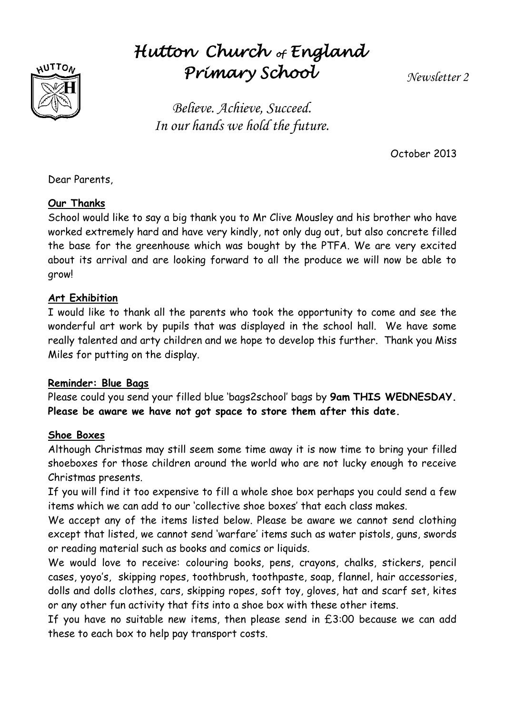

# *Hutton Church of England Primary School*

*Newsletter 2*

*Believe. Achieve, Succeed. In our hands we hold the future.*

October 2013

Dear Parents,

## **Our Thanks**

School would like to say a big thank you to Mr Clive Mousley and his brother who have worked extremely hard and have very kindly, not only dug out, but also concrete filled the base for the greenhouse which was bought by the PTFA. We are very excited about its arrival and are looking forward to all the produce we will now be able to grow!

## **Art Exhibition**

I would like to thank all the parents who took the opportunity to come and see the wonderful art work by pupils that was displayed in the school hall. We have some really talented and arty children and we hope to develop this further. Thank you Miss Miles for putting on the display.

## **Reminder: Blue Bags**

Please could you send your filled blue 'bags2school' bags by **9am THIS WEDNESDAY. Please be aware we have not got space to store them after this date.**

#### **Shoe Boxes**

Although Christmas may still seem some time away it is now time to bring your filled shoeboxes for those children around the world who are not lucky enough to receive Christmas presents.

If you will find it too expensive to fill a whole shoe box perhaps you could send a few items which we can add to our 'collective shoe boxes' that each class makes.

We accept any of the items listed below. Please be aware we cannot send clothing except that listed, we cannot send 'warfare' items such as water pistols, guns, swords or reading material such as books and comics or liquids.

We would love to receive: colouring books, pens, crayons, chalks, stickers, pencil cases, yoyo's, skipping ropes, toothbrush, toothpaste, soap, flannel, hair accessories, dolls and dolls clothes, cars, skipping ropes, soft toy, gloves, hat and scarf set, kites or any other fun activity that fits into a shoe box with these other items.

If you have no suitable new items, then please send in  $£3:00$  because we can add these to each box to help pay transport costs.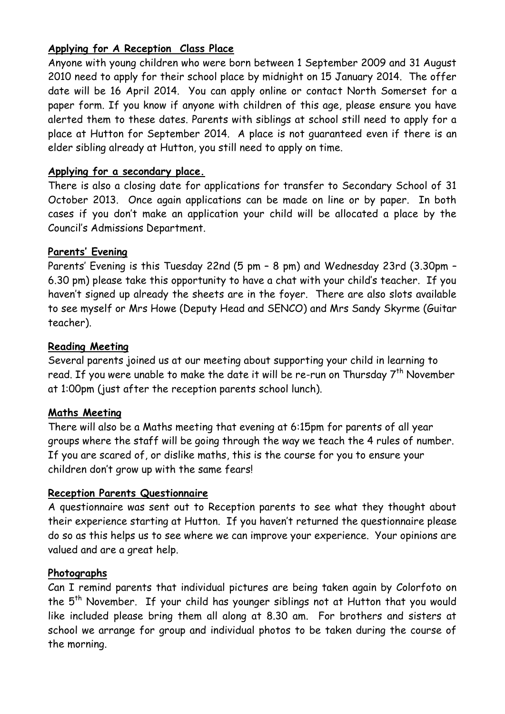## **Applying for A Reception Class Place**

Anyone with young children who were born between 1 September 2009 and 31 August 2010 need to apply for their school place by midnight on 15 January 2014. The offer date will be 16 April 2014. You can apply online or contact North Somerset for a paper form. If you know if anyone with children of this age, please ensure you have alerted them to these dates. Parents with siblings at school still need to apply for a place at Hutton for September 2014. A place is not guaranteed even if there is an elder sibling already at Hutton, you still need to apply on time.

#### **Applying for a secondary place.**

There is also a closing date for applications for transfer to Secondary School of 31 October 2013. Once again applications can be made on line or by paper. In both cases if you don't make an application your child will be allocated a place by the Council's Admissions Department.

#### **Parents' Evening**

Parents' Evening is this Tuesday 22nd (5 pm – 8 pm) and Wednesday 23rd (3.30pm – 6.30 pm) please take this opportunity to have a chat with your child's teacher. If you haven't signed up already the sheets are in the foyer. There are also slots available to see myself or Mrs Howe (Deputy Head and SENCO) and Mrs Sandy Skyrme (Guitar teacher).

#### **Reading Meeting**

Several parents joined us at our meeting about supporting your child in learning to read. If you were unable to make the date it will be re-run on Thursday  $7^{th}$  November at 1:00pm (just after the reception parents school lunch).

#### **Maths Meeting**

There will also be a Maths meeting that evening at 6:15pm for parents of all year groups where the staff will be going through the way we teach the 4 rules of number. If you are scared of, or dislike maths, this is the course for you to ensure your children don't grow up with the same fears!

## **Reception Parents Questionnaire**

A questionnaire was sent out to Reception parents to see what they thought about their experience starting at Hutton. If you haven't returned the questionnaire please do so as this helps us to see where we can improve your experience. Your opinions are valued and are a great help.

#### **Photographs**

Can I remind parents that individual pictures are being taken again by Colorfoto on the 5<sup>th</sup> November. If your child has younger siblings not at Hutton that you would like included please bring them all along at 8.30 am. For brothers and sisters at school we arrange for group and individual photos to be taken during the course of the morning.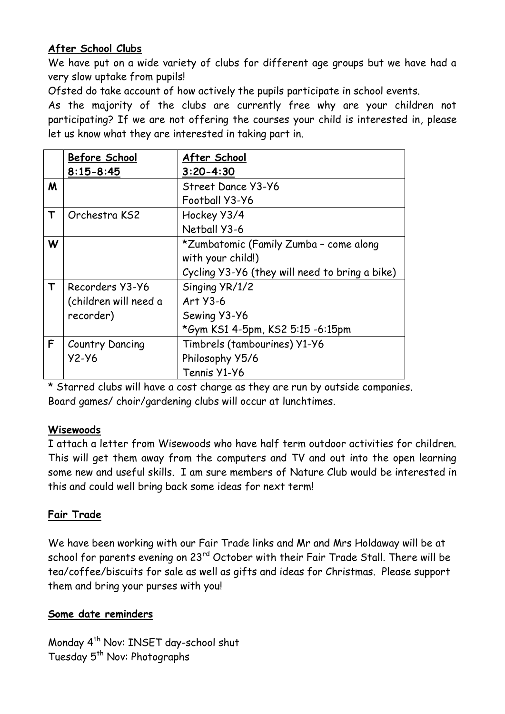## **After School Clubs**

We have put on a wide variety of clubs for different age groups but we have had a very slow uptake from pupils!

Ofsted do take account of how actively the pupils participate in school events.

As the majority of the clubs are currently free why are your children not participating? If we are not offering the courses your child is interested in, please let us know what they are interested in taking part in.

|             | Before School         | After School                                   |
|-------------|-----------------------|------------------------------------------------|
|             | $8:15 - 8:45$         | $3:20 - 4:30$                                  |
| M           |                       | Street Dance Y3-Y6                             |
|             |                       | Football Y3-Y6                                 |
| T           | Orchestra KS2         | Hockey Y3/4                                    |
|             |                       | Netball Y3-6                                   |
| W           |                       | *Zumbatomic (Family Zumba - come along         |
|             |                       | with your child!)                              |
|             |                       | Cycling Y3-Y6 (they will need to bring a bike) |
| $\mathsf T$ | Recorders Y3-Y6       | Singing YR/1/2                                 |
|             | (children will need a | Art Y3-6                                       |
|             | recorder)             | Sewing Y3-Y6                                   |
|             |                       | *Gym KS1 4-5pm, KS2 5:15 -6:15pm               |
| F           | Country Dancing       | Timbrels (tambourines) Y1-Y6                   |
|             | $Y2-Y6$               | Philosophy Y5/6                                |
|             |                       | Tennis Y1-Y6                                   |

\* Starred clubs will have a cost charge as they are run by outside companies. Board games/ choir/gardening clubs will occur at lunchtimes.

## **Wisewoods**

I attach a letter from Wisewoods who have half term outdoor activities for children. This will get them away from the computers and TV and out into the open learning some new and useful skills. I am sure members of Nature Club would be interested in this and could well bring back some ideas for next term!

## **Fair Trade**

We have been working with our Fair Trade links and Mr and Mrs Holdaway will be at school for parents evening on 23<sup>rd</sup> October with their Fair Trade Stall. There will be tea/coffee/biscuits for sale as well as gifts and ideas for Christmas. Please support them and bring your purses with you!

## **Some date reminders**

Monday 4<sup>th</sup> Nov: INSET day-school shut Tuesday 5<sup>th</sup> Nov: Photographs